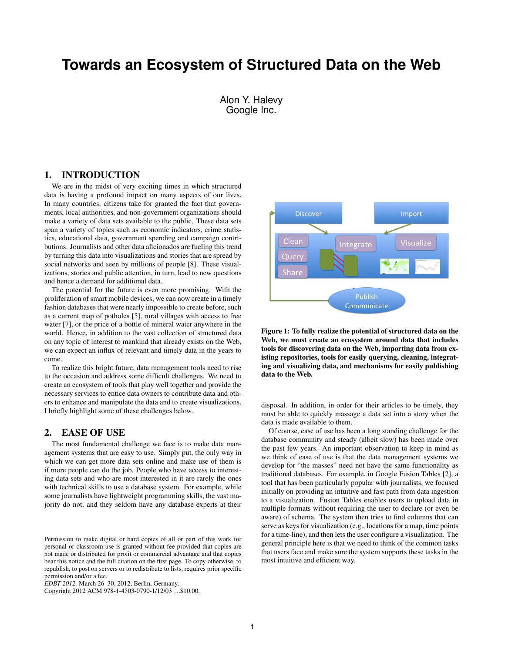# **Towards an Ecosystem of Structured Data on the Web**

Alon Y. Halevy Google Inc.

#### 1. INTRODUCTION

We are in the midst of very exciting times in which structured data is having a profound impact on many aspects of our lives. In many countries, citizens take for granted the fact that governments, local authorities, and non-government organizations should make a variety of data sets available to the public. These data sets span a variety of topics such as economic indicators, crime statistics, educational data, government spending and campaign contributions. Journalists and other data aficionados are fueling this trend by turning this data into visualizations and stories that are spread by social networks and seen by millions of people [8]. These visualizations, stories and public attention, in turn, lead to new questions and hence a demand for additional data.

The potential for the future is even more promising. With the proliferation of smart mobile devices, we can now create in a timely fashion databases that were nearly impossible to create before, such as a current map of potholes [5], rural villages with access to free water [7], or the price of a bottle of mineral water anywhere in the world. Hence, in addition to the vast collection of structured data on any topic of interest to mankind that already exists on the Web, we can expect an influx of relevant and timely data in the years to come.

To realize this bright future, data management tools need to rise to the occasion and address some difficult challenges. We need to create an ecosystem of tools that play well together and provide the necessary services to entice data owners to contribute data and others to enhance and manipulate the data and to create visualizations. I briefly highlight some of these challenges below.

#### 2. EASE OF USE

The most fundamental challenge we face is to make data management systems that are easy to use. Simply put, the only way in which we can get more data sets online and make use of them is if more people can do the job. People who have access to interesting data sets and who are most interested in it are rarely the ones with technical skills to use a database system. For example, while some journalists have lightweight programming skills, the vast majority do not, and they seldom have any database experts at their

Copyright 2012 ACM 978-1-4503-0790-1/12/03 ...\$10.00.



Figure 1: To fully realize the potential of structured data on the Web, we must create an ecosystem around data that includes tools for discovering data on the Web, importing data from existing repositories, tools for easily querying, cleaning, integrating and visualizing data, and mechanisms for easily publishing data to the Web.

disposal. In addition, in order for their articles to be timely, they must be able to quickly massage a data set into a story when the data is made available to them.

Of course, ease of use has been a long standing challenge for the database community and steady (albeit slow) has been made over the past few years. An important observation to keep in mind as we think of ease of use is that the data management systems we develop for "the masses" need not have the same functionality as traditional databases. For example, in Google Fusion Tables [2], a tool that has been particularly popular with journalists, we focused initially on providing an intuitive and fast path from data ingestion to a visualization. Fusion Tables enables users to upload data in multiple formats without requiring the user to declare (or even be aware) of schema. The system then tries to find columns that can serve as keys for visualization (e.g., locations for a map, time points for a time-line), and then lets the user configure a visualization. The general principle here is that we need to think of the common tasks that users face and make sure the system supports these tasks in the most intuitive and efficient way.

Permission to make digital or hard copies of all or part of this work for personal or classroom use is granted without fee provided that copies are not made or distributed for profit or commercial advantage and that copies bear this notice and the full citation on the first page. To copy otherwise, to republish, to post on servers or to redistribute to lists, requires prior specific permission and/or a fee.

*EDBT 2012,* March 26–30, 2012, Berlin, Germany.